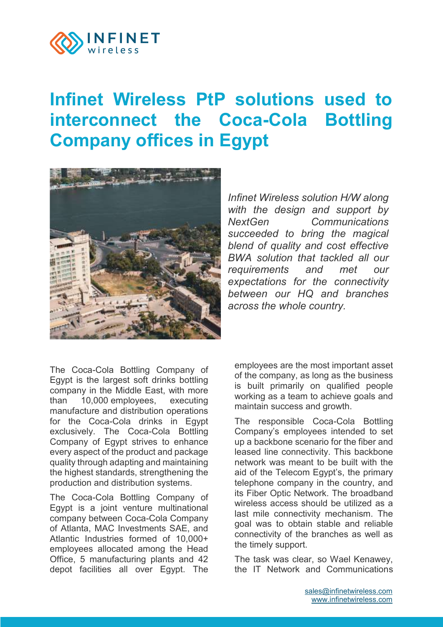

## **[Infinet Wireless PtP](https://wiki.infinetwireless.com/pages/viewpage.action?pageId=100172856) solutions used to [interconnect the Coca-Cola Bottling](https://wiki.infinetwireless.com/pages/viewpage.action?pageId=100172856)  [Company offices in Egypt](https://wiki.infinetwireless.com/pages/viewpage.action?pageId=100172856)**



*Infinet Wireless solution H/W along with the design and support by NextGen Communications succeeded to bring the magical blend of quality and cost effective BWA solution that tackled all our requirements and met our expectations for the connectivity between our HQ and branches across the whole country.*

The Coca-Cola Bottling Company of Egypt is the largest soft drinks bottling company in the Middle East, with more than 10,000 employees, executing manufacture and distribution operations for the Coca-Cola drinks in Egypt exclusively. The Coca-Cola Bottling Company of Egypt strives to enhance every aspect of the product and package quality through adapting and maintaining the highest standards, strengthening the production and distribution systems.

The Coca-Cola Bottling Company of Egypt is a joint venture multinational company between Coca-Cola Company of Atlanta, MAC Investments SAE, and Atlantic Industries formed of 10,000+ employees allocated among the Head Office, 5 manufacturing plants and 42 depot facilities all over Egypt. The

employees are the most important asset of the company, as long as the business is built primarily on qualified people working as a team to achieve goals and maintain success and growth.

The responsible Coca-Cola Bottling Company's employees intended to set up a backbone scenario for the fiber and leased line connectivity. This backbone network was meant to be built with the aid of the Telecom Egypt's, the primary telephone company in the country, and its Fiber Optic Network. The broadband wireless access should be utilized as a last mile connectivity mechanism. The goal was to obtain stable and reliable connectivity of the branches as well as the timely support.

The task was clear, so Wael Kenawey, the IT Network and Communications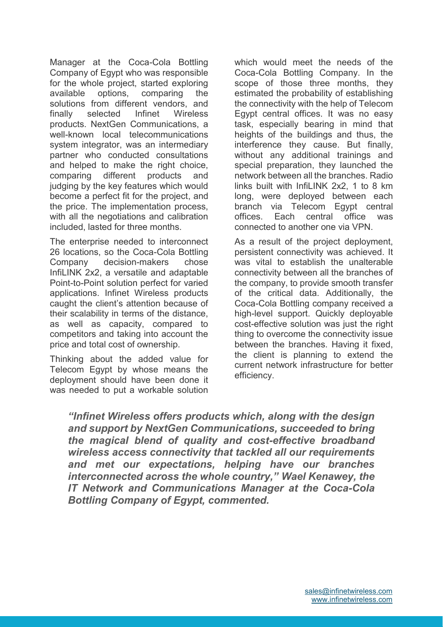Manager at the Coca-Cola Bottling Company of Egypt who was responsible for the whole project, started exploring available options, comparing the solutions from different vendors, and finally selected Infinet Wireless products. NextGen Communications, a well-known local telecommunications system integrator, was an intermediary partner who conducted consultations and helped to make the right choice, comparing different products and judging by the key features which would become a perfect fit for the project, and the price. The implementation process, with all the negotiations and calibration included, lasted for three months.

The enterprise needed to interconnect 26 locations, so the Coca-Cola Bottling Company decision-makers chose InfiLINK 2x2, a versatile and adaptable Point-to-Point solution perfect for varied applications. Infinet Wireless products caught the client's attention because of their scalability in terms of the distance, as well as capacity, compared to competitors and taking into account the price and total cost of ownership.

Thinking about the added value for Telecom Egypt by whose means the deployment should have been done it was needed to put a workable solution which would meet the needs of the Coca-Cola Bottling Company. In the scope of those three months, they estimated the probability of establishing the connectivity with the help of Telecom Egypt central offices. It was no easy task, especially bearing in mind that heights of the buildings and thus, the interference they cause. But finally, without any additional trainings and special preparation, they launched the network between all the branches. Radio links built with InfiLINK 2x2, 1 to 8 km long, were deployed between each branch via Telecom Egypt central offices. Each central office was connected to another one via VPN.

As a result of the project deployment, persistent connectivity was achieved. It was vital to establish the unalterable connectivity between all the branches of the company, to provide smooth transfer of the critical data. Additionally, the Coca-Cola Bottling company received a high-level support. Quickly deployable cost-effective solution was just the right thing to overcome the connectivity issue between the branches. Having it fixed, the client is planning to extend the current network infrastructure for better efficiency.

*"Infinet Wireless offers products which, along with the design and support by NextGen Communications, succeeded to bring the magical blend of quality and cost-effective broadband wireless access connectivity that tackled all our requirements and met our expectations, helping have our branches interconnected across the whole country," Wael Kenawey, the IT Network and Communications Manager at the Coca-Cola Bottling Company of Egypt, commented.*